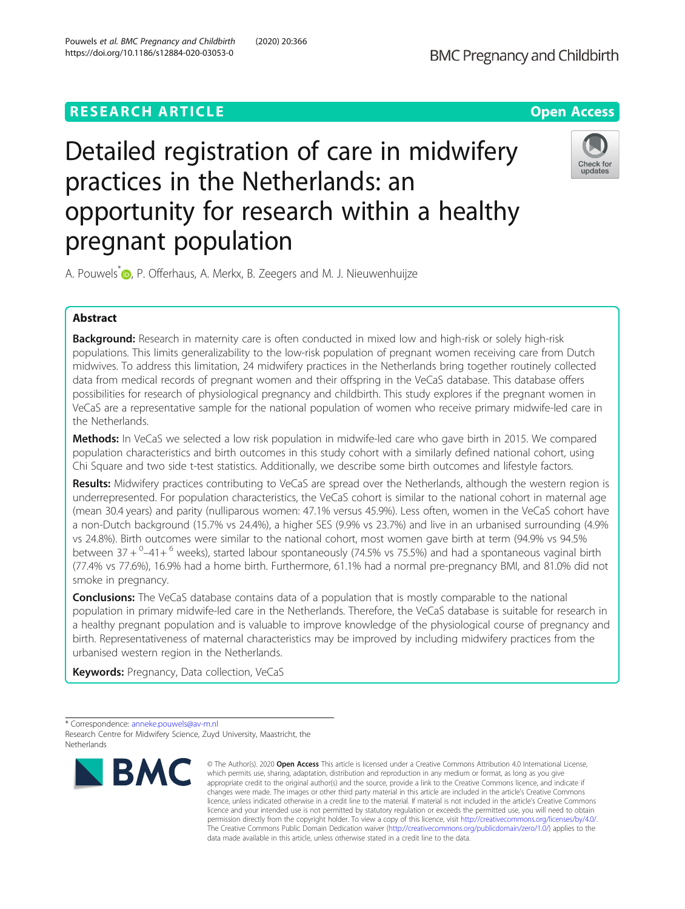# **RESEARCH ARTICLE Example 2014 12:30 The Contract of Contract ACCESS**



# Detailed registration of care in midwifery practices in the Netherlands: an opportunity for research within a healthy pregnant population



A. Pouwels<sup>[\\*](http://orcid.org/0000-0003-3534-8704)</sup> <sub>(D</sub>, P. Offerhaus, A. Merkx, B. Zeegers and M. J. Nieuwenhuijze

# Abstract

Background: Research in maternity care is often conducted in mixed low and high-risk or solely high-risk populations. This limits generalizability to the low-risk population of pregnant women receiving care from Dutch midwives. To address this limitation, 24 midwifery practices in the Netherlands bring together routinely collected data from medical records of pregnant women and their offspring in the VeCaS database. This database offers possibilities for research of physiological pregnancy and childbirth. This study explores if the pregnant women in VeCaS are a representative sample for the national population of women who receive primary midwife-led care in the Netherlands.

**Methods:** In VeCaS we selected a low risk population in midwife-led care who gave birth in 2015. We compared population characteristics and birth outcomes in this study cohort with a similarly defined national cohort, using Chi Square and two side t-test statistics. Additionally, we describe some birth outcomes and lifestyle factors.

Results: Midwifery practices contributing to VeCaS are spread over the Netherlands, although the western region is underrepresented. For population characteristics, the VeCaS cohort is similar to the national cohort in maternal age (mean 30.4 years) and parity (nulliparous women: 47.1% versus 45.9%). Less often, women in the VeCaS cohort have a non-Dutch background (15.7% vs 24.4%), a higher SES (9.9% vs 23.7%) and live in an urbanised surrounding (4.9% vs 24.8%). Birth outcomes were similar to the national cohort, most women gave birth at term (94.9% vs 94.5% between 37 + <sup>0</sup>-41+ <sup>6</sup> weeks), started labour spontaneously (74.5% vs 75.5%) and had a spontaneous vaginal birth (77.4% vs 77.6%), 16.9% had a home birth. Furthermore, 61.1% had a normal pre-pregnancy BMI, and 81.0% did not smoke in pregnancy.

**Conclusions:** The VeCaS database contains data of a population that is mostly comparable to the national population in primary midwife-led care in the Netherlands. Therefore, the VeCaS database is suitable for research in a healthy pregnant population and is valuable to improve knowledge of the physiological course of pregnancy and birth. Representativeness of maternal characteristics may be improved by including midwifery practices from the urbanised western region in the Netherlands.

**Keywords:** Pregnancy, Data collection, VeCaS

<sup>\*</sup> Correspondence: [anneke.pouwels@av-m.nl](mailto:anneke.pouwels@av-m.nl) Research Centre for Midwifery Science, Zuyd University, Maastricht, the Netherlands



<sup>©</sup> The Author(s), 2020 **Open Access** This article is licensed under a Creative Commons Attribution 4.0 International License, which permits use, sharing, adaptation, distribution and reproduction in any medium or format, as long as you give appropriate credit to the original author(s) and the source, provide a link to the Creative Commons licence, and indicate if changes were made. The images or other third party material in this article are included in the article's Creative Commons licence, unless indicated otherwise in a credit line to the material. If material is not included in the article's Creative Commons licence and your intended use is not permitted by statutory regulation or exceeds the permitted use, you will need to obtain permission directly from the copyright holder. To view a copy of this licence, visit [http://creativecommons.org/licenses/by/4.0/.](http://creativecommons.org/licenses/by/4.0/) The Creative Commons Public Domain Dedication waiver [\(http://creativecommons.org/publicdomain/zero/1.0/](http://creativecommons.org/publicdomain/zero/1.0/)) applies to the data made available in this article, unless otherwise stated in a credit line to the data.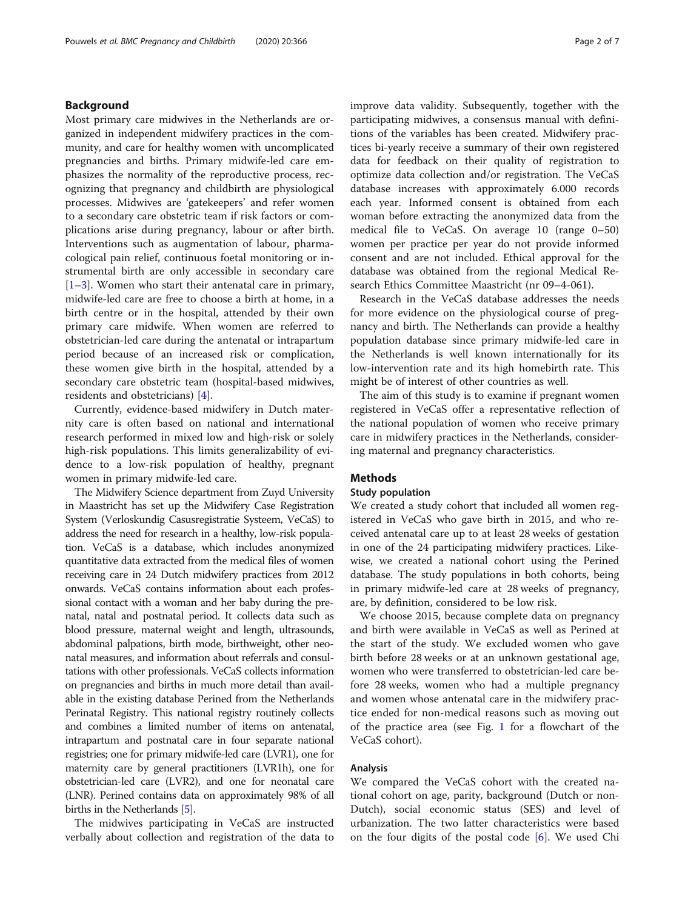# Background

Most primary care midwives in the Netherlands are organized in independent midwifery practices in the community, and care for healthy women with uncomplicated pregnancies and births. Primary midwife-led care emphasizes the normality of the reproductive process, recognizing that pregnancy and childbirth are physiological processes. Midwives are 'gatekeepers' and refer women to a secondary care obstetric team if risk factors or complications arise during pregnancy, labour or after birth. Interventions such as augmentation of labour, pharmacological pain relief, continuous foetal monitoring or instrumental birth are only accessible in secondary care [[1](#page-6-0)–[3\]](#page-6-0). Women who start their antenatal care in primary, midwife-led care are free to choose a birth at home, in a birth centre or in the hospital, attended by their own primary care midwife. When women are referred to obstetrician-led care during the antenatal or intrapartum period because of an increased risk or complication, these women give birth in the hospital, attended by a secondary care obstetric team (hospital-based midwives, residents and obstetricians) [[4\]](#page-6-0).

Currently, evidence-based midwifery in Dutch maternity care is often based on national and international research performed in mixed low and high-risk or solely high-risk populations. This limits generalizability of evidence to a low-risk population of healthy, pregnant women in primary midwife-led care.

The Midwifery Science department from Zuyd University in Maastricht has set up the Midwifery Case Registration System (Verloskundig Casusregistratie Systeem, VeCaS) to address the need for research in a healthy, low-risk population. VeCaS is a database, which includes anonymized quantitative data extracted from the medical files of women receiving care in 24 Dutch midwifery practices from 2012 onwards. VeCaS contains information about each professional contact with a woman and her baby during the prenatal, natal and postnatal period. It collects data such as blood pressure, maternal weight and length, ultrasounds, abdominal palpations, birth mode, birthweight, other neonatal measures, and information about referrals and consultations with other professionals. VeCaS collects information on pregnancies and births in much more detail than available in the existing database Perined from the Netherlands Perinatal Registry. This national registry routinely collects and combines a limited number of items on antenatal, intrapartum and postnatal care in four separate national registries; one for primary midwife-led care (LVR1), one for maternity care by general practitioners (LVR1h), one for obstetrician-led care (LVR2), and one for neonatal care (LNR). Perined contains data on approximately 98% of all births in the Netherlands [\[5](#page-6-0)].

The midwives participating in VeCaS are instructed verbally about collection and registration of the data to improve data validity. Subsequently, together with the participating midwives, a consensus manual with definitions of the variables has been created. Midwifery practices bi-yearly receive a summary of their own registered data for feedback on their quality of registration to optimize data collection and/or registration. The VeCaS database increases with approximately 6.000 records each year. Informed consent is obtained from each woman before extracting the anonymized data from the medical file to VeCaS. On average 10 (range 0–50) women per practice per year do not provide informed consent and are not included. Ethical approval for the database was obtained from the regional Medical Research Ethics Committee Maastricht (nr 09–4-061).

Research in the VeCaS database addresses the needs for more evidence on the physiological course of pregnancy and birth. The Netherlands can provide a healthy population database since primary midwife-led care in the Netherlands is well known internationally for its low-intervention rate and its high homebirth rate. This might be of interest of other countries as well.

The aim of this study is to examine if pregnant women registered in VeCaS offer a representative reflection of the national population of women who receive primary care in midwifery practices in the Netherlands, considering maternal and pregnancy characteristics.

# Methods

#### Study population

We created a study cohort that included all women registered in VeCaS who gave birth in 2015, and who received antenatal care up to at least 28 weeks of gestation in one of the 24 participating midwifery practices. Likewise, we created a national cohort using the Perined database. The study populations in both cohorts, being in primary midwife-led care at 28 weeks of pregnancy, are, by definition, considered to be low risk.

We choose 2015, because complete data on pregnancy and birth were available in VeCaS as well as Perined at the start of the study. We excluded women who gave birth before 28 weeks or at an unknown gestational age, women who were transferred to obstetrician-led care before 28 weeks, women who had a multiple pregnancy and women whose antenatal care in the midwifery practice ended for non-medical reasons such as moving out of the practice area (see Fig. [1](#page-2-0) for a flowchart of the VeCaS cohort).

#### Analysis

We compared the VeCaS cohort with the created national cohort on age, parity, background (Dutch or non-Dutch), social economic status (SES) and level of urbanization. The two latter characteristics were based on the four digits of the postal code [\[6](#page-6-0)]. We used Chi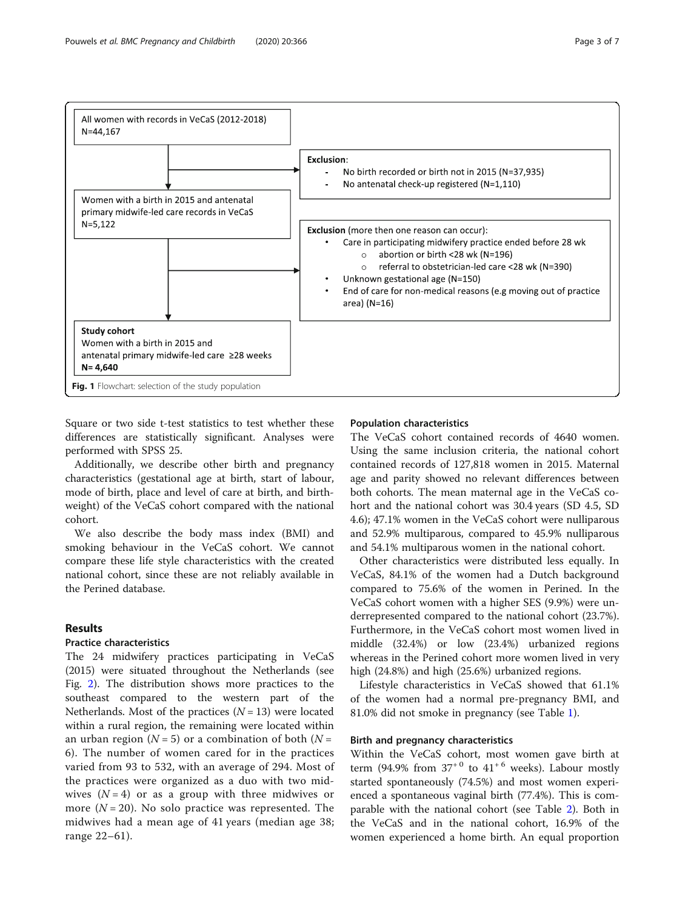<span id="page-2-0"></span>

Square or two side t-test statistics to test whether these differences are statistically significant. Analyses were performed with SPSS 25.

Additionally, we describe other birth and pregnancy characteristics (gestational age at birth, start of labour, mode of birth, place and level of care at birth, and birthweight) of the VeCaS cohort compared with the national cohort.

We also describe the body mass index (BMI) and smoking behaviour in the VeCaS cohort. We cannot compare these life style characteristics with the created national cohort, since these are not reliably available in the Perined database.

# Results

#### Practice characteristics

The 24 midwifery practices participating in VeCaS (2015) were situated throughout the Netherlands (see Fig. [2](#page-3-0)). The distribution shows more practices to the southeast compared to the western part of the Netherlands. Most of the practices  $(N = 13)$  were located within a rural region, the remaining were located within an urban region ( $N = 5$ ) or a combination of both ( $N =$ 6). The number of women cared for in the practices varied from 93 to 532, with an average of 294. Most of the practices were organized as a duo with two midwives  $(N = 4)$  or as a group with three midwives or more  $(N = 20)$ . No solo practice was represented. The midwives had a mean age of 41 years (median age 38; range 22–61).

#### Population characteristics

The VeCaS cohort contained records of 4640 women. Using the same inclusion criteria, the national cohort contained records of 127,818 women in 2015. Maternal age and parity showed no relevant differences between both cohorts. The mean maternal age in the VeCaS cohort and the national cohort was 30.4 years (SD 4.5, SD 4.6); 47.1% women in the VeCaS cohort were nulliparous and 52.9% multiparous, compared to 45.9% nulliparous and 54.1% multiparous women in the national cohort.

Other characteristics were distributed less equally. In VeCaS, 84.1% of the women had a Dutch background compared to 75.6% of the women in Perined. In the VeCaS cohort women with a higher SES (9.9%) were underrepresented compared to the national cohort (23.7%). Furthermore, in the VeCaS cohort most women lived in middle (32.4%) or low (23.4%) urbanized regions whereas in the Perined cohort more women lived in very high (24.8%) and high (25.6%) urbanized regions.

Lifestyle characteristics in VeCaS showed that 61.1% of the women had a normal pre-pregnancy BMI, and 81.0% did not smoke in pregnancy (see Table [1\)](#page-4-0).

# Birth and pregnancy characteristics

Within the VeCaS cohort, most women gave birth at term (94.9% from  $37<sup>+0</sup>$  to  $41<sup>+6</sup>$  weeks). Labour mostly started spontaneously (74.5%) and most women experienced a spontaneous vaginal birth (77.4%). This is comparable with the national cohort (see Table [2\)](#page-5-0). Both in the VeCaS and in the national cohort, 16.9% of the women experienced a home birth. An equal proportion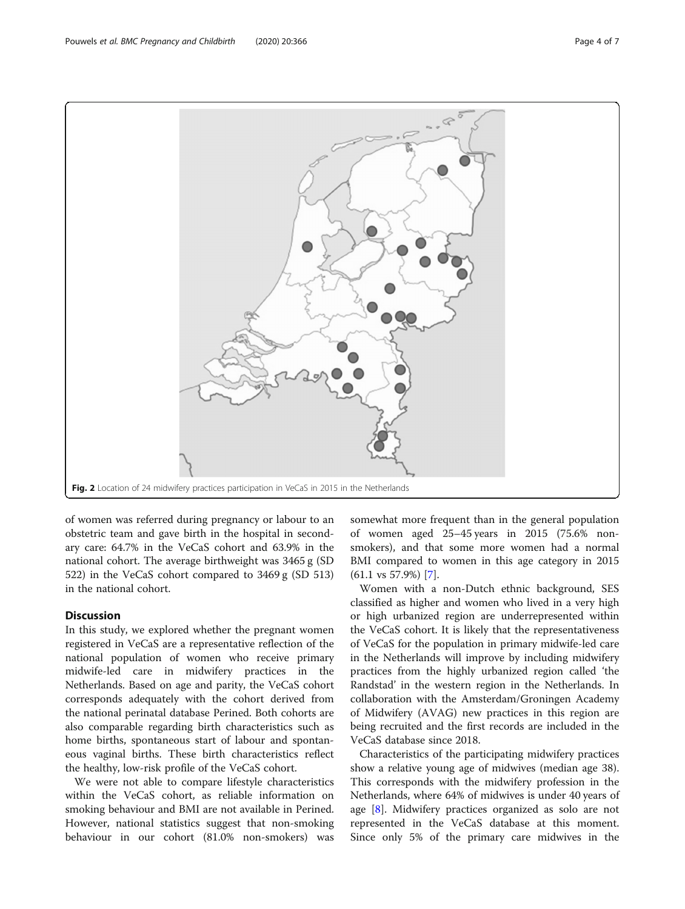of women was referred during pregnancy or labour to an obstetric team and gave birth in the hospital in secondary care: 64.7% in the VeCaS cohort and 63.9% in the national cohort. The average birthweight was 3465 g (SD 522) in the VeCaS cohort compared to 3469 g (SD 513) in the national cohort.

# **Discussion**

In this study, we explored whether the pregnant women registered in VeCaS are a representative reflection of the national population of women who receive primary midwife-led care in midwifery practices in the Netherlands. Based on age and parity, the VeCaS cohort corresponds adequately with the cohort derived from the national perinatal database Perined. Both cohorts are also comparable regarding birth characteristics such as home births, spontaneous start of labour and spontaneous vaginal births. These birth characteristics reflect the healthy, low-risk profile of the VeCaS cohort.

We were not able to compare lifestyle characteristics within the VeCaS cohort, as reliable information on smoking behaviour and BMI are not available in Perined. However, national statistics suggest that non-smoking behaviour in our cohort (81.0% non-smokers) was

somewhat more frequent than in the general population of women aged 25–45 years in 2015 (75.6% nonsmokers), and that some more women had a normal BMI compared to women in this age category in 2015 (61.1 vs 57.9%) [[7\]](#page-6-0).

Women with a non-Dutch ethnic background, SES classified as higher and women who lived in a very high or high urbanized region are underrepresented within the VeCaS cohort. It is likely that the representativeness of VeCaS for the population in primary midwife-led care in the Netherlands will improve by including midwifery practices from the highly urbanized region called 'the Randstad' in the western region in the Netherlands. In collaboration with the Amsterdam/Groningen Academy of Midwifery (AVAG) new practices in this region are being recruited and the first records are included in the VeCaS database since 2018.

Characteristics of the participating midwifery practices show a relative young age of midwives (median age 38). This corresponds with the midwifery profession in the Netherlands, where 64% of midwives is under 40 years of age [\[8](#page-6-0)]. Midwifery practices organized as solo are not represented in the VeCaS database at this moment. Since only 5% of the primary care midwives in the

<span id="page-3-0"></span>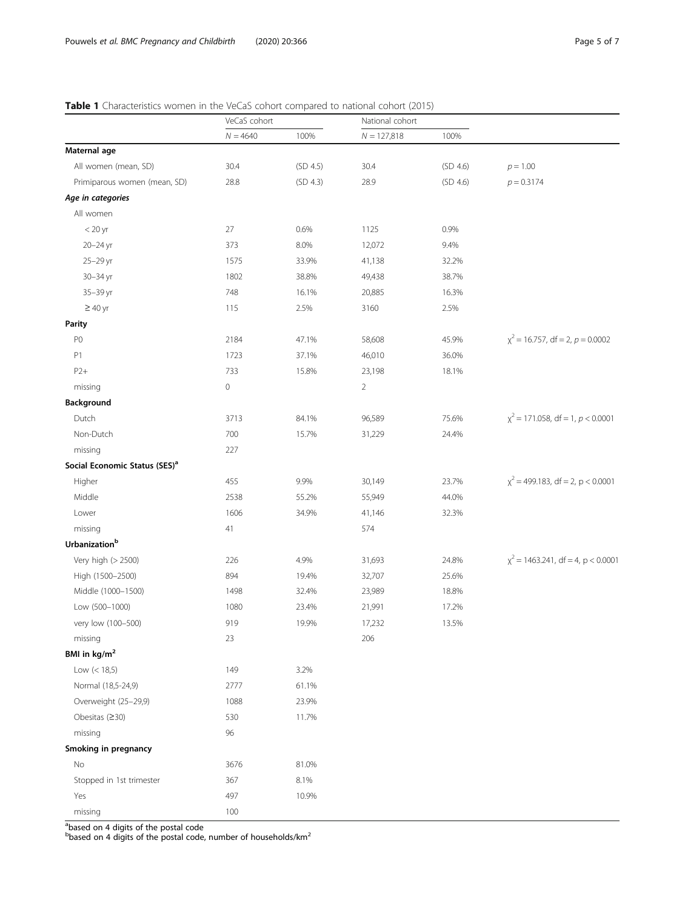# <span id="page-4-0"></span>Table 1 Characteristics women in the VeCaS cohort compared to national cohort (2015)

|                                           | VeCaS cohort |          | National cohort |          |                                        |
|-------------------------------------------|--------------|----------|-----------------|----------|----------------------------------------|
|                                           | $N = 4640$   | 100%     | $N = 127,818$   | 100%     |                                        |
| Maternal age                              |              |          |                 |          |                                        |
| All women (mean, SD)                      | 30.4         | (SD 4.5) | 30.4            | (SD 4.6) | $p = 1.00$                             |
| Primiparous women (mean, SD)              | 28.8         | (SD 4.3) | 28.9            | (SD 4.6) | $p = 0.3174$                           |
| Age in categories                         |              |          |                 |          |                                        |
| All women                                 |              |          |                 |          |                                        |
| $<$ 20 yr                                 | 27           | 0.6%     | 1125            | 0.9%     |                                        |
| 20-24 yr                                  | 373          | 8.0%     | 12,072          | 9.4%     |                                        |
| 25-29 yr                                  | 1575         | 33.9%    | 41,138          | 32.2%    |                                        |
| 30-34 yr                                  | 1802         | 38.8%    | 49,438          | 38.7%    |                                        |
| 35-39 yr                                  | 748          | 16.1%    | 20,885          | 16.3%    |                                        |
| $\geq 40$ yr                              | 115          | 2.5%     | 3160            | 2.5%     |                                        |
| <b>Parity</b>                             |              |          |                 |          |                                        |
| P <sub>0</sub>                            | 2184         | 47.1%    | 58,608          | 45.9%    | $\chi^2$ = 16.757, df = 2, p = 0.0002  |
| P1                                        | 1723         | 37.1%    | 46,010          | 36.0%    |                                        |
| $P2+$                                     | 733          | 15.8%    | 23,198          | 18.1%    |                                        |
| missing                                   | $\mathbb O$  |          | $\overline{2}$  |          |                                        |
| Background                                |              |          |                 |          |                                        |
| Dutch                                     | 3713         | 84.1%    | 96,589          | 75.6%    | $\chi^2$ = 171.058, df = 1, p < 0.0001 |
| Non-Dutch                                 | 700          | 15.7%    | 31,229          | 24.4%    |                                        |
| missing                                   | 227          |          |                 |          |                                        |
| Social Economic Status (SES) <sup>a</sup> |              |          |                 |          |                                        |
| Higher                                    | 455          | 9.9%     | 30,149          | 23.7%    | $\chi^2$ = 499.183, df = 2, p < 0.0001 |
| Middle                                    | 2538         | 55.2%    | 55,949          | 44.0%    |                                        |
| Lower                                     | 1606         | 34.9%    | 41,146          | 32.3%    |                                        |
| missing                                   | 41           |          | 574             |          |                                        |
| Urbanization <sup>b</sup>                 |              |          |                 |          |                                        |
| Very high (> 2500)                        | 226          | 4.9%     | 31,693          | 24.8%    | $x^2$ = 1463.241, df = 4, p < 0.0001   |
| High (1500-2500)                          | 894          | 19.4%    | 32,707          | 25.6%    |                                        |
| Middle (1000-1500)                        | 1498         | 32.4%    | 23,989          | 18.8%    |                                        |
| Low (500-1000)                            | 1080         | 23.4%    | 21,991          | 17.2%    |                                        |
| very low (100-500)                        | 919          | 19.9%    | 17,232          | 13.5%    |                                        |
| missing                                   | 23           |          | 206             |          |                                        |
| BMI in kg/m <sup>2</sup>                  |              |          |                 |          |                                        |
| Low $(< 18, 5)$                           | 149          | 3.2%     |                 |          |                                        |
| Normal (18,5-24,9)                        | 2777         | 61.1%    |                 |          |                                        |
| Overweight (25-29,9)                      | 1088         | 23.9%    |                 |          |                                        |
| Obesitas $(≥30)$                          | 530          | 11.7%    |                 |          |                                        |
| missing                                   | 96           |          |                 |          |                                        |
| Smoking in pregnancy                      |              |          |                 |          |                                        |
| No                                        | 3676         | 81.0%    |                 |          |                                        |
| Stopped in 1st trimester                  | 367          | 8.1%     |                 |          |                                        |
| Yes                                       | 497          | 10.9%    |                 |          |                                        |
| missing                                   | 100          |          |                 |          |                                        |

<sup>a</sup>based on 4 digits of the postal code<br><sup>b</sup>based on 4 digits of the postal code, number of households/km<sup>2</sup>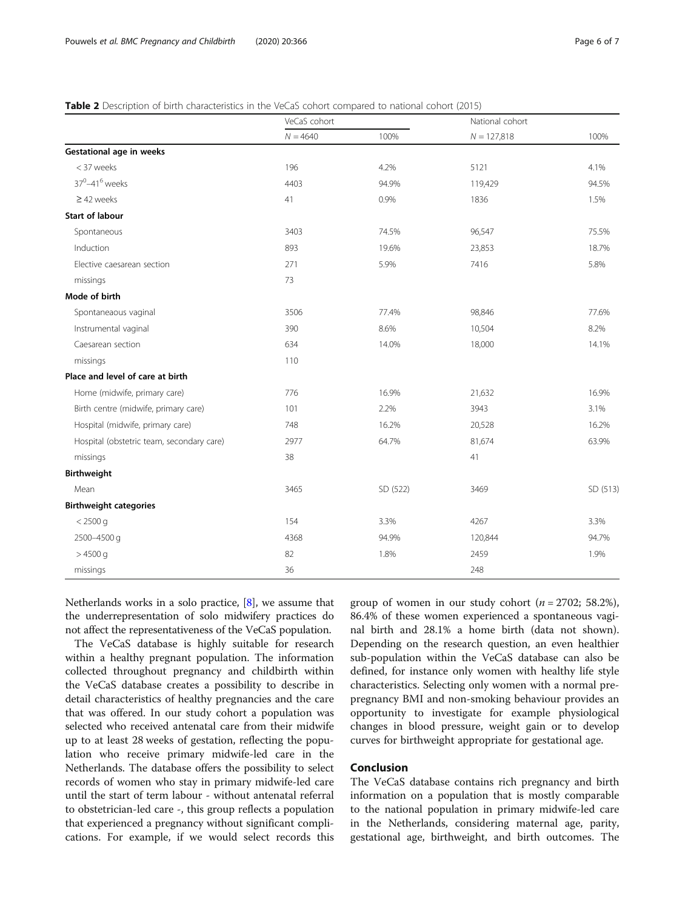# <span id="page-5-0"></span>Table 2 Description of birth characteristics in the VeCaS cohort compared to national cohort (2015)

|                                           | VeCaS cohort |          | National cohort |          |
|-------------------------------------------|--------------|----------|-----------------|----------|
|                                           | $N = 4640$   | 100%     | $N = 127,818$   | 100%     |
| Gestational age in weeks                  |              |          |                 |          |
| < 37 weeks                                | 196          | 4.2%     | 5121            | 4.1%     |
| 37 <sup>0</sup> -41 <sup>6</sup> weeks    | 4403         | 94.9%    | 119,429         | 94.5%    |
| $\geq$ 42 weeks                           | 41           | 0.9%     | 1836            | 1.5%     |
| <b>Start of labour</b>                    |              |          |                 |          |
| Spontaneous                               | 3403         | 74.5%    | 96,547          | 75.5%    |
| Induction                                 | 893          | 19.6%    | 23,853          | 18.7%    |
| Elective caesarean section                | 271          | 5.9%     | 7416            | 5.8%     |
| missings                                  | 73           |          |                 |          |
| Mode of birth                             |              |          |                 |          |
| Spontaneaous vaginal                      | 3506         | 77.4%    | 98,846          | 77.6%    |
| Instrumental vaginal                      | 390          | 8.6%     | 10,504          | 8.2%     |
| Caesarean section                         | 634          | 14.0%    | 18,000          | 14.1%    |
| missings                                  | 110          |          |                 |          |
| Place and level of care at birth          |              |          |                 |          |
| Home (midwife, primary care)              | 776          | 16.9%    | 21,632          | 16.9%    |
| Birth centre (midwife, primary care)      | 101          | 2.2%     | 3943            | 3.1%     |
| Hospital (midwife, primary care)          | 748          | 16.2%    | 20,528          | 16.2%    |
| Hospital (obstetric team, secondary care) | 2977         | 64.7%    | 81,674          | 63.9%    |
| missings                                  | 38           |          | 41              |          |
| <b>Birthweight</b>                        |              |          |                 |          |
| Mean                                      | 3465         | SD (522) | 3469            | SD (513) |
| <b>Birthweight categories</b>             |              |          |                 |          |
| $< 2500$ q                                | 154          | 3.3%     | 4267            | 3.3%     |
| 2500-4500 g                               | 4368         | 94.9%    | 120,844         | 94.7%    |
| $>4500$ g                                 | 82           | 1.8%     | 2459            | 1.9%     |
| missings                                  | 36           |          | 248             |          |

Netherlands works in a solo practice, [\[8](#page-6-0)], we assume that the underrepresentation of solo midwifery practices do not affect the representativeness of the VeCaS population.

The VeCaS database is highly suitable for research within a healthy pregnant population. The information collected throughout pregnancy and childbirth within the VeCaS database creates a possibility to describe in detail characteristics of healthy pregnancies and the care that was offered. In our study cohort a population was selected who received antenatal care from their midwife up to at least 28 weeks of gestation, reflecting the population who receive primary midwife-led care in the Netherlands. The database offers the possibility to select records of women who stay in primary midwife-led care until the start of term labour - without antenatal referral to obstetrician-led care -, this group reflects a population that experienced a pregnancy without significant complications. For example, if we would select records this

group of women in our study cohort ( $n = 2702$ ; 58.2%), 86.4% of these women experienced a spontaneous vaginal birth and 28.1% a home birth (data not shown). Depending on the research question, an even healthier sub-population within the VeCaS database can also be defined, for instance only women with healthy life style characteristics. Selecting only women with a normal prepregnancy BMI and non-smoking behaviour provides an opportunity to investigate for example physiological changes in blood pressure, weight gain or to develop curves for birthweight appropriate for gestational age.

# Conclusion

The VeCaS database contains rich pregnancy and birth information on a population that is mostly comparable to the national population in primary midwife-led care in the Netherlands, considering maternal age, parity, gestational age, birthweight, and birth outcomes. The